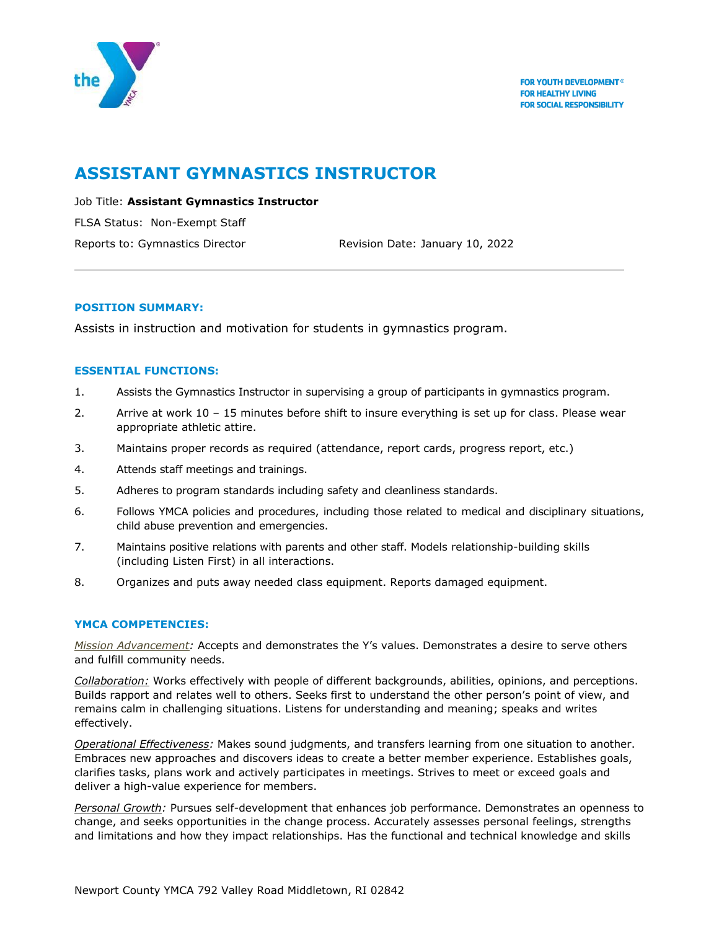

# **ASSISTANT GYMNASTICS INSTRUCTOR**

Job Title: **Assistant Gymnastics Instructor**

FLSA Status: Non-Exempt Staff

Reports to: Gymnastics Director Revision Date: January 10, 2022

### **POSITION SUMMARY:**

Assists in instruction and motivation for students in gymnastics program.

### **ESSENTIAL FUNCTIONS:**

- 1. Assists the Gymnastics Instructor in supervising a group of participants in gymnastics program.
- 2. Arrive at work 10 15 minutes before shift to insure everything is set up for class. Please wear appropriate athletic attire.
- 3. Maintains proper records as required (attendance, report cards, progress report, etc.)
- 4. Attends staff meetings and trainings.
- 5. Adheres to program standards including safety and cleanliness standards.
- 6. Follows YMCA policies and procedures, including those related to medical and disciplinary situations, child abuse prevention and emergencies.
- 7. Maintains positive relations with parents and other staff. Models relationship-building skills (including Listen First) in all interactions.
- 8. Organizes and puts away needed class equipment. Reports damaged equipment.

### **YMCA COMPETENCIES:**

*Mission Advancement:* Accepts and demonstrates the Y's values. Demonstrates a desire to serve others and fulfill community needs.

*Collaboration:* Works effectively with people of different backgrounds, abilities, opinions, and perceptions. Builds rapport and relates well to others. Seeks first to understand the other person's point of view, and remains calm in challenging situations. Listens for understanding and meaning; speaks and writes effectively.

*Operational Effectiveness:* Makes sound judgments, and transfers learning from one situation to another. Embraces new approaches and discovers ideas to create a better member experience. Establishes goals, clarifies tasks, plans work and actively participates in meetings. Strives to meet or exceed goals and deliver a high-value experience for members.

*Personal Growth:* Pursues self-development that enhances job performance. Demonstrates an openness to change, and seeks opportunities in the change process. Accurately assesses personal feelings, strengths and limitations and how they impact relationships. Has the functional and technical knowledge and skills